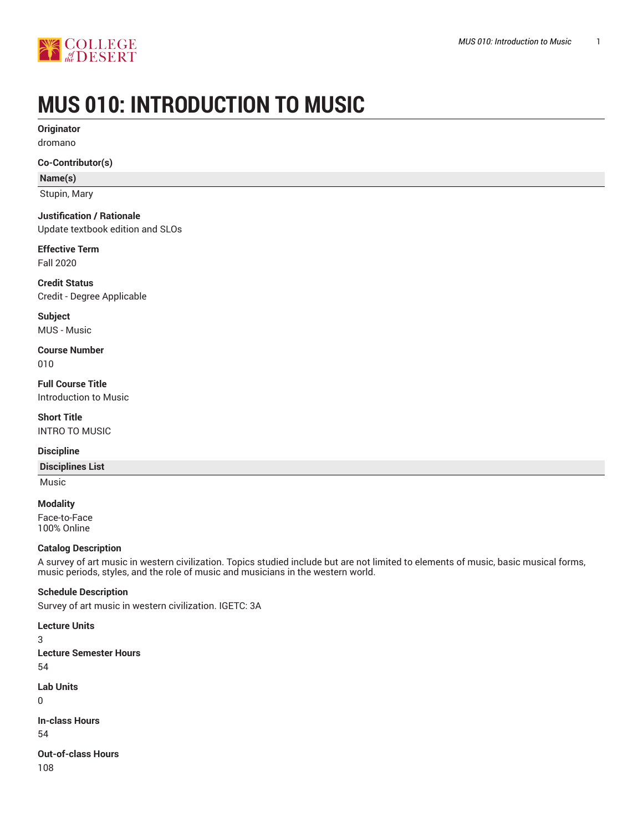

# **MUS 010: INTRODUCTION TO MUSIC**

**Originator** dromano

**Co-Contributor(s)**

**Name(s)**

Stupin, Mary

**Justification / Rationale**

Update textbook edition and SLOs

**Effective Term** Fall 2020

**Credit Status** Credit - Degree Applicable

**Subject** MUS - Music

**Course Number** 010

**Full Course Title** Introduction to Music

**Short Title** INTRO TO MUSIC

### **Discipline**

**Disciplines List**

Music

**Modality** Face-to-Face 100% Online

### **Catalog Description**

A survey of art music in western civilization. Topics studied include but are not limited to elements of music, basic musical forms, music periods, styles, and the role of music and musicians in the western world.

**Schedule Description**

Survey of art music in western civilization. IGETC: 3A

**Lecture Units** 3 **Lecture Semester Hours** 54 **Lab Units**  $\Omega$ **In-class Hours** 54

**Out-of-class Hours** 108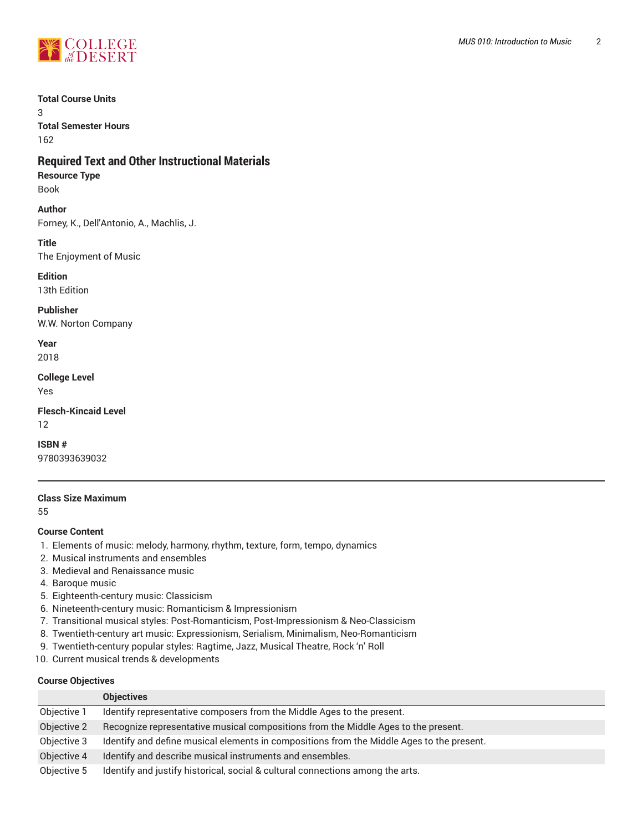

### **Total Course Units**

3 **Total Semester Hours** 162

# **Required Text and Other Instructional Materials**

### **Resource Type**

Book

### **Author** Forney, K., Dell'Antonio, A., Machlis, J.

**Title** The Enjoyment of Music

**Edition**

13th Edition

**Publisher** W.W. Norton Company

**Year** 2018

### **College Level**

Yes

**Flesch-Kincaid Level** 12

# **ISBN #**

9780393639032

### **Class Size Maximum**

55

### **Course Content**

- 1. Elements of music: melody, harmony, rhythm, texture, form, tempo, dynamics
- 2. Musical instruments and ensembles
- 3. Medieval and Renaissance music
- 4. Baroque music
- 5. Eighteenth-century music: Classicism
- 6. Nineteenth-century music: Romanticism & Impressionism
- 7. Transitional musical styles: Post-Romanticism, Post-Impressionism & Neo-Classicism
- 8. Twentieth-century art music: Expressionism, Serialism, Minimalism, Neo-Romanticism
- 9. Twentieth-century popular styles: Ragtime, Jazz, Musical Theatre, Rock 'n' Roll
- 10. Current musical trends & developments

### **Course Objectives**

|             | <b>Objectives</b>                                                                         |  |
|-------------|-------------------------------------------------------------------------------------------|--|
| Objective 1 | Identify representative composers from the Middle Ages to the present.                    |  |
| Objective 2 | Recognize representative musical compositions from the Middle Ages to the present.        |  |
| Objective 3 | Identify and define musical elements in compositions from the Middle Ages to the present. |  |
| Objective 4 | Identify and describe musical instruments and ensembles.                                  |  |
| Objective 5 | Identify and justify historical, social & cultural connections among the arts.            |  |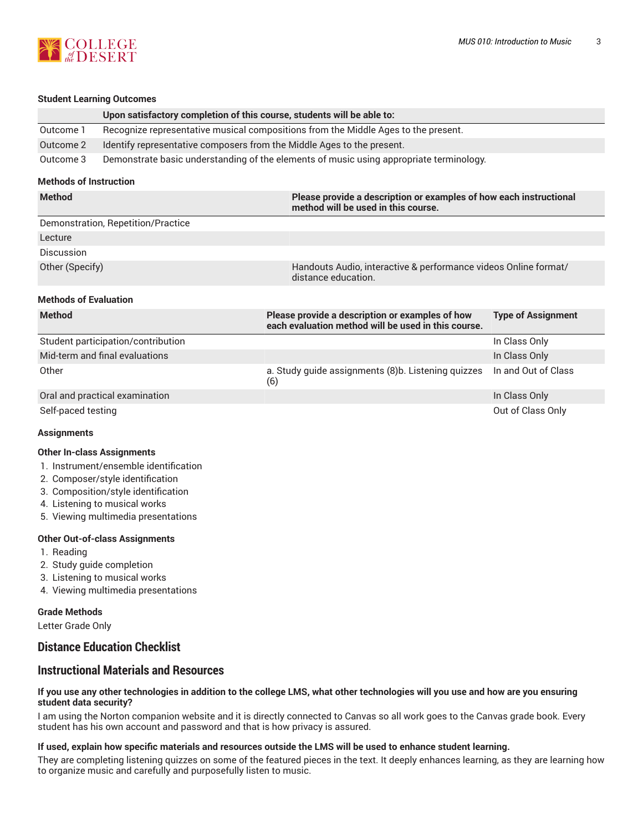

#### **Student Learning Outcomes**

|                                    | Upon satisfactory completion of this course, students will be able to:             |                                                                                                           |                           |  |
|------------------------------------|------------------------------------------------------------------------------------|-----------------------------------------------------------------------------------------------------------|---------------------------|--|
| Outcome 1                          | Recognize representative musical compositions from the Middle Ages to the present. |                                                                                                           |                           |  |
| Outcome 2                          | Identify representative composers from the Middle Ages to the present.             |                                                                                                           |                           |  |
| Outcome 3                          |                                                                                    | Demonstrate basic understanding of the elements of music using appropriate terminology.                   |                           |  |
| <b>Methods of Instruction</b>      |                                                                                    |                                                                                                           |                           |  |
| <b>Method</b>                      |                                                                                    | Please provide a description or examples of how each instructional<br>method will be used in this course. |                           |  |
| Demonstration, Repetition/Practice |                                                                                    |                                                                                                           |                           |  |
| Lecture                            |                                                                                    |                                                                                                           |                           |  |
| Discussion                         |                                                                                    |                                                                                                           |                           |  |
| Other (Specify)                    |                                                                                    | Handouts Audio, interactive & performance videos Online format/<br>distance education.                    |                           |  |
| <b>Methods of Evaluation</b>       |                                                                                    |                                                                                                           |                           |  |
| <b>Method</b>                      |                                                                                    | Please provide a description or examples of how<br>each evaluation method will be used in this course.    | <b>Type of Assignment</b> |  |
|                                    | Student participation/contribution                                                 |                                                                                                           | In Class Only             |  |
|                                    | Mid-term and final evaluations                                                     |                                                                                                           | In Class Only             |  |
| Other                              |                                                                                    | a. Study guide assignments (8)b. Listening quizzes<br>(6)                                                 | In and Out of Class       |  |
|                                    | Oral and practical examination                                                     |                                                                                                           | In Class Only             |  |
| Self-paced testing                 |                                                                                    |                                                                                                           | Out of Class Only         |  |
| <b>Assignments</b>                 |                                                                                    |                                                                                                           |                           |  |
| <b>Other In-class Assignments</b>  |                                                                                    |                                                                                                           |                           |  |

- 1. Instrument/ensemble identification
- 2. Composer/style identification
- 3. Composition/style identification
- 4. Listening to musical works
- 5. Viewing multimedia presentations

### **Other Out-of-class Assignments**

- 1. Reading
- 2. Study guide completion
- 3. Listening to musical works
- 4. Viewing multimedia presentations

### **Grade Methods**

Letter Grade Only

# **Distance Education Checklist**

# **Instructional Materials and Resources**

#### If you use any other technologies in addition to the college LMS, what other technologies will you use and how are you ensuring **student data security?**

I am using the Norton companion website and it is directly connected to Canvas so all work goes to the Canvas grade book. Every student has his own account and password and that is how privacy is assured.

### **If used, explain how specific materials and resources outside the LMS will be used to enhance student learning.**

They are completing listening quizzes on some of the featured pieces in the text. It deeply enhances learning, as they are learning how to organize music and carefully and purposefully listen to music.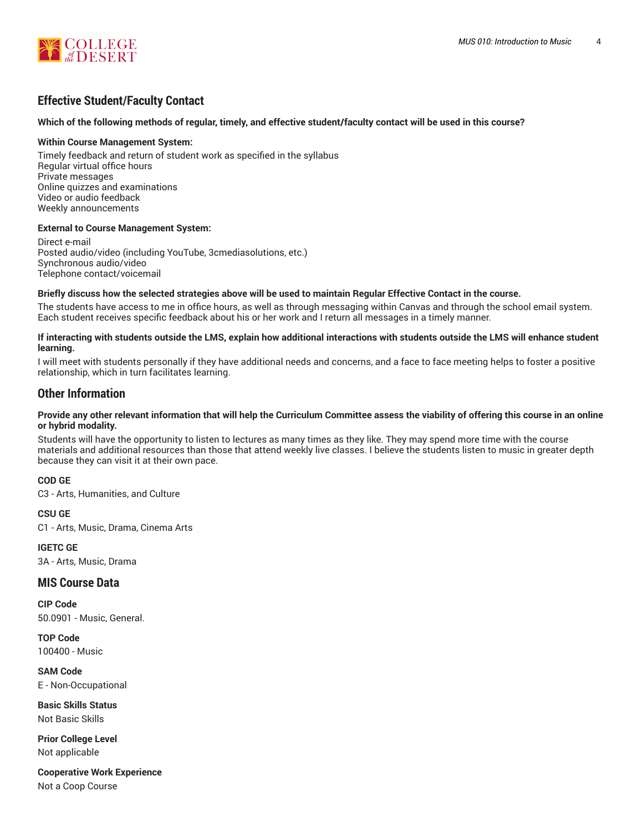

# **Effective Student/Faculty Contact**

### Which of the following methods of regular, timely, and effective student/faculty contact will be used in this course?

#### **Within Course Management System:**

Timely feedback and return of student work as specified in the syllabus Regular virtual office hours Private messages Online quizzes and examinations Video or audio feedback Weekly announcements

### **External to Course Management System:**

Direct e-mail Posted audio/video (including YouTube, 3cmediasolutions, etc.) Synchronous audio/video Telephone contact/voicemail

#### Briefly discuss how the selected strategies above will be used to maintain Regular Effective Contact in the course.

The students have access to me in office hours, as well as through messaging within Canvas and through the school email system. Each student receives specific feedback about his or her work and I return all messages in a timely manner.

#### **If interacting with students outside the LMS, explain how additional interactions with students outside the LMS will enhance student learning.**

I will meet with students personally if they have additional needs and concerns, and a face to face meeting helps to foster a positive relationship, which in turn facilitates learning.

### **Other Information**

#### Provide any other relevant information that will help the Curriculum Committee assess the viability of offering this course in an online **or hybrid modality.**

Students will have the opportunity to listen to lectures as many times as they like. They may spend more time with the course materials and additional resources than those that attend weekly live classes. I believe the students listen to music in greater depth because they can visit it at their own pace.

### **COD GE**

C3 - Arts, Humanities, and Culture

### **CSU GE**

C1 - Arts, Music, Drama, Cinema Arts

### **IGETC GE**

3A - Arts, Music, Drama

### **MIS Course Data**

**CIP Code** 50.0901 - Music, General.

**TOP Code** 100400 - Music

**SAM Code** E - Non-Occupational

**Basic Skills Status** Not Basic Skills

**Prior College Level** Not applicable

**Cooperative Work Experience** Not a Coop Course